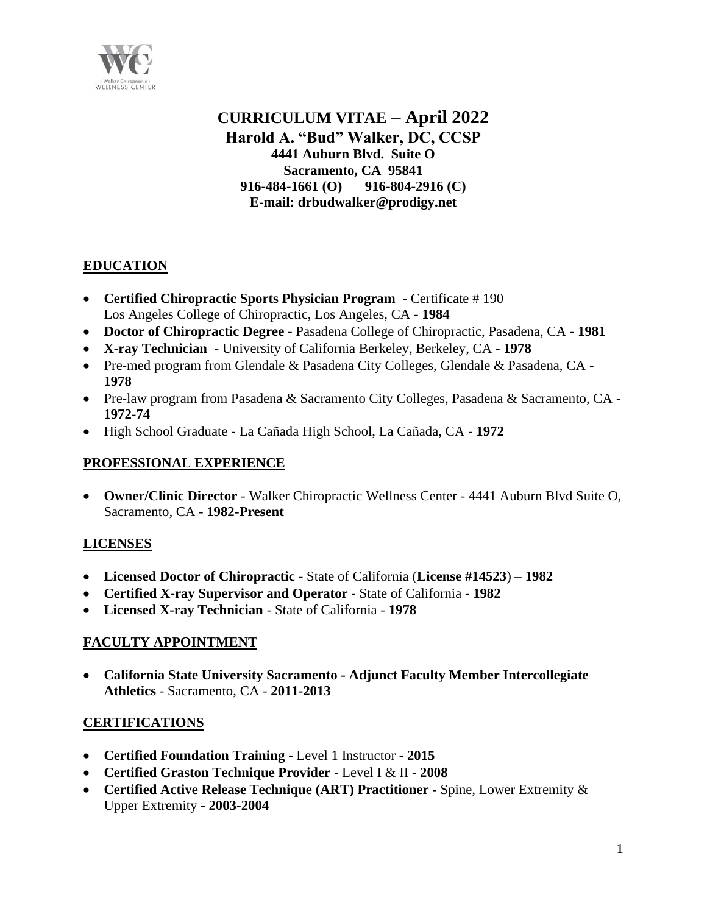

## **CURRICULUM VITAE – April 2022 Harold A. "Bud" Walker, DC, CCSP 4441 Auburn Blvd. Suite O Sacramento, CA 95841 916-484-1661 (O) 916-804-2916 (C) E-mail: drbudwalker@prodigy.net**

# **EDUCATION**

- **Certified Chiropractic Sports Physician Program -** Certificate # 190 Los Angeles College of Chiropractic, Los Angeles, CA - **1984**
- **Doctor of Chiropractic Degree** Pasadena College of Chiropractic, Pasadena, CA **1981**
- **X-ray Technician -** University of California Berkeley, Berkeley, CA **1978**
- Pre-med program from Glendale & Pasadena City Colleges, Glendale & Pasadena, CA -**1978**
- Pre-law program from Pasadena & Sacramento City Colleges, Pasadena & Sacramento, CA **1972-74**
- High School Graduate La Cañada High School, La Cañada, CA **1972**

## **PROFESSIONAL EXPERIENCE**

• **Owner/Clinic Director** - Walker Chiropractic Wellness Center - 4441 Auburn Blvd Suite O, Sacramento, CA - **1982-Present** 

## **LICENSES**

- **Licensed Doctor of Chiropractic**  State of California (**License #14523**) **1982**
- **Certified X-ray Supervisor and Operator** State of California **1982**
- **Licensed X-ray Technician** State of California **1978**

## **FACULTY APPOINTMENT**

• **California State University Sacramento - Adjunct Faculty Member Intercollegiate Athletics** - Sacramento, CA - **2011-2013**

## **CERTIFICATIONS**

- **Certified Foundation Training -** Level 1 Instructor **- 2015**
- **Certified Graston Technique Provider -** Level I & II **2008**
- **Certified Active Release Technique (ART) Practitioner -** Spine, Lower Extremity & Upper Extremity - **2003-2004**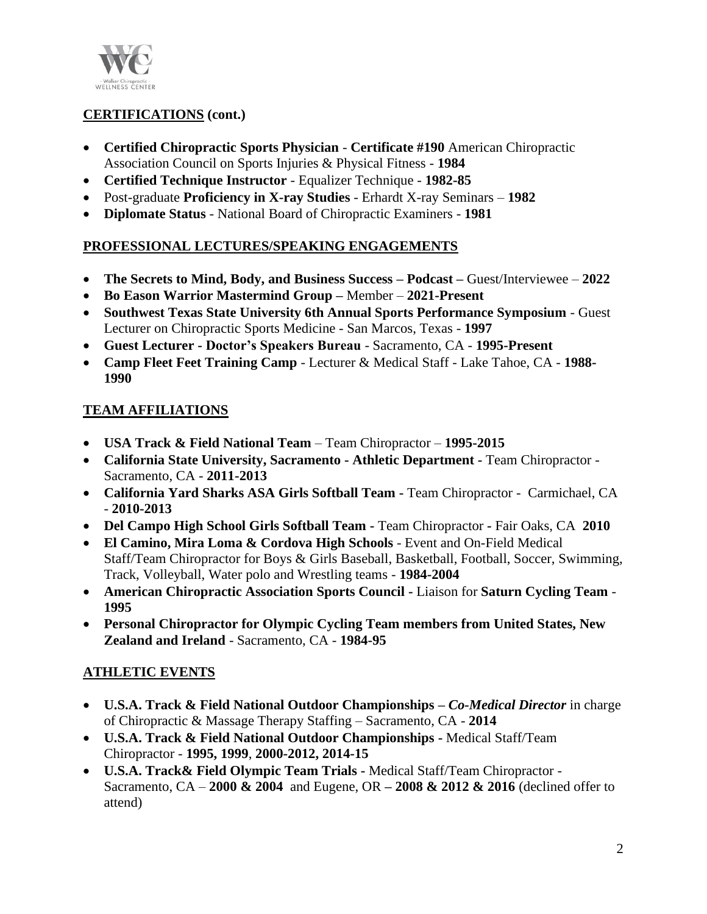

## **CERTIFICATIONS (cont.)**

- **Certified Chiropractic Sports Physician Certificate #190** American Chiropractic Association Council on Sports Injuries & Physical Fitness - **1984**
- **Certified Technique Instructor** Equalizer Technique **1982-85**
- Post-graduate **Proficiency in X-ray Studies**  Erhardt X-ray Seminars **1982**
- **Diplomate Status**  National Board of Chiropractic Examiners **1981**

#### **PROFESSIONAL LECTURES/SPEAKING ENGAGEMENTS**

- **The Secrets to Mind, Body, and Business Success – Podcast –** Guest/Interviewee **2022**
- **Bo Eason Warrior Mastermind Group –** Member **2021-Present**
- **Southwest Texas State University 6th Annual Sports Performance Symposium**  Guest Lecturer on Chiropractic Sports Medicine - San Marcos, Texas - **1997**
- **Guest Lecturer - Doctor's Speakers Bureau** Sacramento, CA **1995-Present**
- **Camp Fleet Feet Training Camp** Lecturer & Medical Staff Lake Tahoe, CA **1988- 1990**

## **TEAM AFFILIATIONS**

- **USA Track & Field National Team**  Team Chiropractor **1995-2015**
- **California State University, Sacramento - Athletic Department -** Team Chiropractor Sacramento, CA - **2011-2013**
- **California Yard Sharks ASA Girls Softball Team -** Team Chiropractor Carmichael, CA - **2010-2013**
- **Del Campo High School Girls Softball Team -** Team Chiropractor **-** Fair Oaks, CA **2010**
- **El Camino, Mira Loma & Cordova High Schools** Event and On-Field Medical Staff/Team Chiropractor for Boys & Girls Baseball, Basketball, Football, Soccer, Swimming, Track, Volleyball, Water polo and Wrestling teams - **1984-2004**
- **American Chiropractic Association Sports Council -** Liaison for **Saturn Cycling Team 1995**
- **Personal Chiropractor for Olympic Cycling Team members from United States, New Zealand and Ireland** - Sacramento, CA - **1984-95**

# **ATHLETIC EVENTS**

- **U.S.A. Track & Field National Outdoor Championships –** *Co-Medical Director* in charge of Chiropractic & Massage Therapy Staffing – Sacramento, CA - **2014**
- **U.S.A. Track & Field National Outdoor Championships -** Medical Staff/Team Chiropractor - **1995, 1999**, **2000-2012, 2014-15**
- **U.S.A. Track& Field Olympic Team Trials -** Medical Staff/Team Chiropractor Sacramento, CA – **2000 & 2004** and Eugene, OR **– 2008 & 2012 & 2016** (declined offer to attend)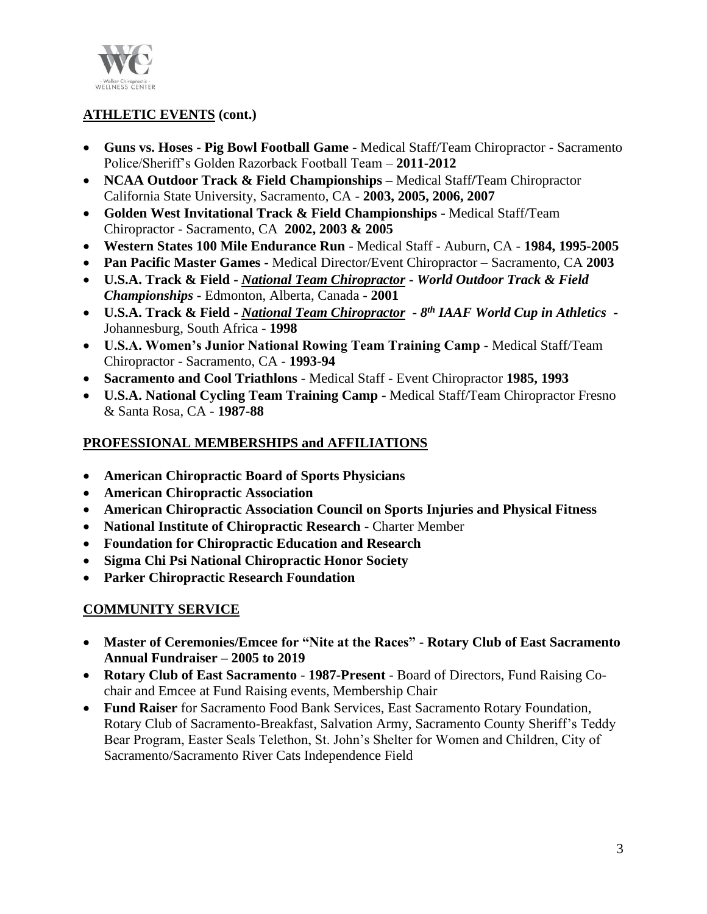

## **ATHLETIC EVENTS (cont.)**

- **Guns vs. Hoses - Pig Bowl Football Game** Medical Staff/Team Chiropractor Sacramento Police/Sheriff's Golden Razorback Football Team – **2011-2012**
- **NCAA Outdoor Track & Field Championships –** Medical Staff**/**Team Chiropractor California State University, Sacramento, CA - **2003, 2005, 2006, 2007**
- **Golden West Invitational Track & Field Championships -** Medical Staff/Team Chiropractor - Sacramento, CA **2002, 2003 & 2005**
- **Western States 100 Mile Endurance Run** Medical Staff Auburn, CA **1984, 1995-2005**
- **Pan Pacific Master Games -** Medical Director/Event Chiropractor Sacramento, CA **2003**
- **U.S.A. Track & Field -** *National Team Chiropractor* **-** *World Outdoor Track & Field Championships* **-** Edmonton, Alberta, Canada - **2001**
- **U.S.A. Track & Field -** *National Team Chiropractor 8 th IAAF World Cup in Athletics* **-** Johannesburg, South Africa - **1998**
- **U.S.A. Women's Junior National Rowing Team Training Camp** Medical Staff/Team Chiropractor - Sacramento, CA - **1993-94**
- **Sacramento and Cool Triathlons** Medical Staff Event Chiropractor **1985, 1993**
- **U.S.A. National Cycling Team Training Camp -** Medical Staff/Team Chiropractor Fresno & Santa Rosa, CA - **1987-88**

## **PROFESSIONAL MEMBERSHIPS and AFFILIATIONS**

- **American Chiropractic Board of Sports Physicians**
- **American Chiropractic Association**
- **American Chiropractic Association Council on Sports Injuries and Physical Fitness**
- **National Institute of Chiropractic Research** Charter Member
- **Foundation for Chiropractic Education and Research**
- **Sigma Chi Psi National Chiropractic Honor Society**
- **Parker Chiropractic Research Foundation**

## **COMMUNITY SERVICE**

- **Master of Ceremonies/Emcee for "Nite at the Races" - Rotary Club of East Sacramento Annual Fundraiser – 2005 to 2019**
- **Rotary Club of East Sacramento 1987-Present** Board of Directors, Fund Raising Cochair and Emcee at Fund Raising events, Membership Chair
- **Fund Raiser** for Sacramento Food Bank Services, East Sacramento Rotary Foundation, Rotary Club of Sacramento-Breakfast, Salvation Army, Sacramento County Sheriff's Teddy Bear Program, Easter Seals Telethon, St. John's Shelter for Women and Children, City of Sacramento/Sacramento River Cats Independence Field